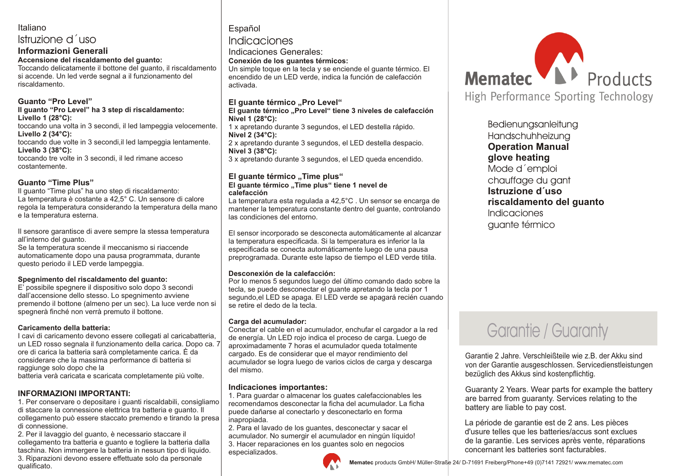# Italiano

# Istruzione d´uso

**Informazioni Generali Accensione del riscaldamento del guanto:** Toccando delicatamente il bottone del guanto, il riscaldamento si accende. Un led verde segnal a il funzionamento del

riscaldamento.

### **Guanto "Pro Level"**

**Il guanto "Pro Level" ha 3 step di riscaldamento: Livello 1 (28°C):** toccando una volta in 3 secondi, il led lampeggia velocemente. **Livello 2 (34°C):** toccando due volte in 3 secondi,il led lampeggia lentamente. **Livello 3 (38°C):** toccando tre volte in 3 secondi, il led rimane acceso costantemente.

### **Guanto "Time Plus"**

Il guanto "Time plus" ha uno step di riscaldamento: La temperatura è costante a 42,5° C. Un sensore di calore regola la temperatura considerando la temperatura della mano e la temperatura esterna.

Il sensore garantisce di avere sempre la stessa temperatura all'interno del guanto.

Se la temperatura scende il meccanismo si riaccende automaticamente dopo una pausa programmata, durante questo periodo il LED verde lampeggia.

### **Spegnimento del riscaldamento del guanto:**

E' possibile spegnere il dispositivo solo dopo 3 secondi dall'accensione dello stesso. Lo spegnimento avviene premendo il bottone (almeno per un sec). La luce verde non si spegnerà finché non verrà premuto il bottone.

#### **Caricamento della batteria:**

I cavi di caricamento devono essere collegati al caricabatteria, un LED rosso segnala il funzionamento della carica. Dopo ca. 7 ore di carica la batteria sarà completamente carica. È da considerare che la massima performance di batteria si raggiunge solo dopo che la

batteria verà caricata e scaricata completamente più volte.

# **INFORMAZIONI IMPORTANTI:**

1. Per conservare o depositare i guanti riscaldabili, consigliamo di staccare la connessione elettrica tra batteria e guanto. Il collegamento può essere staccato premendo e tirando la presa di connessione.

2. Per il lavaggio del guanto, è necessario staccare il collegamento tra batteria e guanto e togliere la batteria dalla taschina. Non immergere la batteria in nessun tipo di liquido. 3. Riparazioni devono essere effettuate solo da personale qualificato.

# Español Indicaciones

Indicaciones Generales:

**Conexión de los guantes térmicos:**

Un simple toque en la tecla y se enciende el guante térmico. El encendido de un LED verde, indica la función de calefacción activada.

### **El guante térmico "Pro Level"**

#### **El guante térmico "Pro Level" tiene 3 niveles de calefacción Nivel 1 (28°C):**

1 x apretando durante 3 segundos, el LED destella rápido. **Nivel 2 (34°C):**

2 x apretando durante 3 segundos, el LED destella despacio. **Nivel 3 (38°C):**

3 x apretando durante 3 segundos, el LED queda encendido.

#### **El quante térmico "Time plus" El guante térmico "Time plus" tiene 1 nevel de calefacción**

La temperatura esta regulada a 42,5°C . Un sensor se encarga de mantener la temperatura constante dentro del guante, controlando las condiciones del entorno.

El sensor incorporado se desconecta automáticamente al alcanzar la temperatura especificada. Si la temperatura es inferior la la especificada se conecta automáticamente luego de una pausa preprogramada. Durante este lapso de tiempo el LED verde titila.

#### **Desconexión de la calefacción:**

Por lo menos 5 segundos luego del último comando dado sobre la tecla, se puede desconectar el guante apretando la tecla por 1 segundo,el LED se apaga. El LED verde se apagará recién cuando se retire el dedo de la tecla.

### **Carga del acumulador:**

Conectar el cable en el acumulador, enchufar el cargador a la red de energía. Un LED rojo indica el proceso de carga. Luego de aproximadamente 7 horas el acumulador queda totalmente cargado. Es de considerar que el mayor rendimiento del acumulador se logra luego de varios ciclos de carga y descarga del mismo.

### **Indicaciones importantes:**

1. Para guardar o almacenar los guates calefaccionables les recomendamos desconectar la ficha del acumulador. La ficha puede dañarse al conectarlo y desconectarlo en forma inapropiada.

2. Para el lavado de los guantes, desconectar y sacar el acumulador. No sumergir el acumulador en ningún líquido! 3. Hacer reparaciones en los guantes solo en negocios especializados.





**Bedienungsanleitung** Handschuhheizung **Operation Manual glove heating** Mode d´emploi chauffage du gant **Istruzione d´uso riscaldamento del guanto** Indicaciones guante térmico

# Garantie / Guaranty

Garantie 2 Jahre. Verschleißteile wie z.B. der Akku sind von der Garantie ausgeschlossen. Servicedienstleistungen bezüglich des Akkus sind kostenpflichtig.

Guaranty 2 Years. Wear parts for example the battery are barred from guaranty. Services relating to the battery are liable to pay cost.

La période de garantie est de 2 ans. Les pièces d'usure telles que les batteries/accus sont exclues de la garantie. Les services après vente, réparations concernant les batteries sont facturables.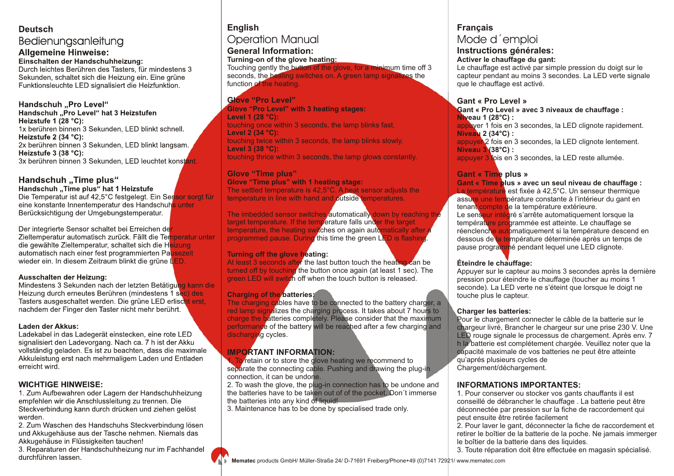### **Deutsch** Bedienungsanleitung **Allgemeine Hinweise:**

**Einschalten der Handschuhheizung:** Durch leichtes Berühren des Tasters, für mindestens 3 Sekunden, schaltet sich die Heizung ein. Eine grüne Funktionsleuchte LED signalisiert die Heizfunktion.

#### **Handschuh "Pro Level"**

**Handschuh "Pro Level" hat 3 Heizstufen Heizstufe 1 (28 °C):** 1x berühren binnen 3 Sekunden, LED blinkt schnell. **Heizstufe 2 (34 °C):** 2x berühren binnen 3 Sekunden, LED blinkt langsam. **Heizstufe 3 (38 °C):** 3x berühren binnen 3 Sekunden, LED leuchtet konstant.

# **Handschuh "Time plus"**

**Handschuh "Time plus" hat 1 Heizstufe** Die Temperatur ist auf 42,5°C festgelegt. Ein Sensor sorgt für eine konstante Innentemperatur des Handschuhs unter

Berücksichtigung der Umgebungstemperatur. Der integrierte Sensor schaltet bei Erreichen der

Zieltemperatur automatisch zurück. Fällt die Temperatur unter die gewählte Zieltemperatur, schaltet sich die Heizung automatisch nach einer fest programmierten Pausezeit wieder ein. In diesem Zeitraum blinkt die grüne LED.

#### **Ausschalten der Heizung:**

Mindestens 3 Sekunden nach der letzten Betätigung kann die Heizung durch erneutes Berühren (mindestens 1 sec) des Tasters ausgeschaltet werden. Die grüne LED erlischt erst, nachdem der Finger den Taster nicht mehr berührt.

#### **Laden der Akkus:**

Ladekabel in das Ladegerät einstecken, eine rote LED signalisiert den Ladevorgang. Nach ca. 7 h ist der Akku vollständig geladen. Es ist zu beachten, dass die maximale Akkuleistung erst nach mehrmaligem Laden und Entladen erreicht wird.

# **WICHTIGE HINWEISE:**

1. Zum Aufbewahren oder Lagern der Handschuhheizung empfehlen wir die Anschlussleitung zu trennen. Die Steckverbindung kann durch drücken und ziehen gelöst werden.

2. Zum Waschen des Handschuhs Steckverbindung lösen und Akkugehäuse aus der Tasche nehmen. Niemals das Akkugehäuse in Flüssigkeiten tauchen!

3. Reparaturen der Handschuhheizung nur im Fachhandel durchführen lassen.

# **English** Operation Manual **General Information:**

**Turning-on of the glove heating:**

Touching gently the button of the glove, for a minimum time off 3 seconds, the heating switches on. A green lamp signalizes the function of the heating.

### **Glove "Pro Level" Glove "Pro Level" with 3 heating stages: Level 1 (28 °C):**

touching once within 3 seconds, the lamp blinks fast. **Level 2 (34 °C):** touching twice within 3 seconds, the lamp blinks slowly. **Level 3 (38 °C):** touching thrice within 3 seconds, the lamp glows constantly.

# **Glove "Time plus"**

**Glove "Time plus" with 1 heating stage:** The settled temperature is 42,5°C. A heat sensor adjusts the temperature in line with hand and outside temperatures.

The imbedded sensor switches automatically down by reaching the target temperature. If the temperature falls under the target temperature, the heating switches on again automatically after a programmed pause. During this time the green LED is flashing.

### **Turning off the glove heating:**

At least 3 seconds after the last button touch the heating can be turned off by touching the button once again (at least 1 sec). The green LED will switch off when the touch button is released.

# **Charging of the batteries:**

The charging cables have to be connected to the battery charger, a red lamp signalizes the charging process. It takes about 7 hours to charge the batteries completely. Please consider that the maximum performance of the battery will be reached after a few charging and discharging cycles.

# **IMPORTANT INFORMATION:**

1. To retain or to store the glove heating we recommend to separate the connecting cable. Pushing and drawing the plug-in connection, it can be undone.

2. To wash the glove, the plug-in connection has to be undone and the batteries have to be taken out of of the pocket. Don´t immerse the batteries into any kind of liquid!

3. Maintenance has to be done by specialised trade only.

# **Français**

# Mode d´emploi

# **Instructions générales:**

**Activer le chauffage du gant:**

Le chauffage est activé par simple pression du doigt sur le capteur pendant au moins 3 secondes. La LED verte signale que le chauffage est activé.

### **Gant « Pro Level »**

**Gant « Pro Level » avec 3 niveaux de chauffage : Niveau 1 (28°C) :**

appuyer 1 fois en 3 secondes, la LED clignote rapidement. **Niveau 2 (34°C) :**

appuyer 2 fois en 3 secondes, la LED clignote lentement. **Niveau 3 (38°C) :**

appuyer 3 fois en 3 secondes, la LED reste allumée.

# **Gant « Time plus »**

| Gant « Time plus » avec un seul niveau de chauffage :     |
|-----------------------------------------------------------|
| La température est fixée à 42,5°C. Un senseur thermique   |
| assure une température constante à l'intérieur du gant en |
| tenant compte de la température extérieure.               |
| Le senseur intégré s'arrête automatiquement lorsque la    |
| température programmée est atteinte. Le chauffage se      |
| réenclenche automatiquement si la température descend en  |
| dessous de la température déterminée après un temps de    |
| pause programmé pendant lequel une LED clignote.          |

### **Éteindre le chauffage:**

Appuyer sur le capteur au moins 3 secondes après la dernière pression pour éteindre le chauffage (toucher au moins 1 seconde). La LED verte ne s'éteint que lorsque le doigt ne touche plus le capteur.

### **Charger les batteries:**

Pour le chargement connecter le câble de la batterie sur le chargeur livré, Brancher le chargeur sur une prise 230 V. Une LED rouge signale le processus de chargement. Après env. 7 h la batterie est complétement chargée. Veuillez noter que la capacité maximale de vos batteries ne peut être atteinte qu'aprés plusieurs cycles de Chargement/déchargement.

# **INFORMATIONS IMPORTANTES:**

1. Pour conserver ou stocker vos gants chauffants il est conseillé de débrancher le chauffage . La batterie peut être déconnectée par pression sur la fiche de raccordement qui peut ensuite être retirée facilement

2. Pour laver le gant, déconnecter la fiche de raccordement et retirer le boîtier de la batterie de la poche. Ne jamais immerger le boîtier de la batterie dans des liquides.

3. Toute réparation doit être effectuée en magasin spécialisé.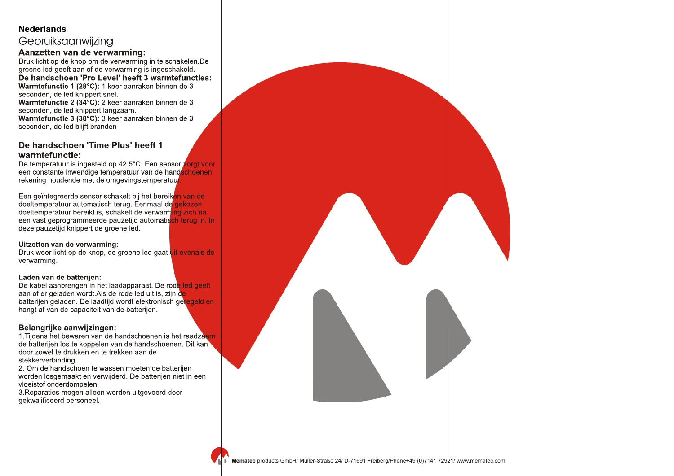# **Nederlands**

# Gebruiksaanwijzing

### **Aanzetten van de verwarming:**

Druk licht op de knop om de verwarming in te schakelen.De groene led geeft aan of de verwarming is ingeschakeld.

**De handschoen 'Pro Level' heeft 3 warmtefuncties: Warmtefunctie 1 (28°C):** 1 keer aanraken binnen de 3 seconden, de led knippert snel.

**Warmtefunctie 2 (34°C):** 2 keer aanraken binnen de 3 seconden, de led knippert langzaam.

**Warmtefunctie 3 (38°C):** 3 keer aanraken binnen de 3 seconden, de led blijft branden

### **De handschoen 'Time Plus' heeft 1 warmtefunctie:**

De temperatuur is ingesteld op 42.5°C. Een sensor zorgt voor een constante inwendige temperatuur van de handschoenen rekening houdende met de omgevingstemperatuur

Een geïntegreerde sensor schakelt bij het bereiken van de doeltemperatuur automatisch terug. Eenmaal de gekozen doeltemperatuur bereikt is, schakelt de verwarming zich na een vast geprogrammeerde pauzetijd automatisch terug in. In deze pauzetijd knippert de groene led.

#### **Uitzetten van de verwarming:**

Druk weer licht op de knop, de groene led gaat uit evenals de verwarming.

### **Laden van de batterijen:**

De kabel aanbrengen in het laadapparaat. De rode led geeft aan of er geladen wordt. Als de rode led uit is, zijn de batterijen geladen. De laadtijd wordt elektronisch geregeld en hangt af van de capaciteit van de batterijen.

### **Belangrijke aanwijzingen:**

1.Tijdens het bewaren van de handschoenen is het raadzaam de batterijen los te koppelen van de handschoenen. Dit kan door zowel te drukken en te trekken aan de stekkerverbinding.

2. Om de handschoen te wassen moeten de batterijen worden losgemaakt en verwijderd. De batterijen niet in een vloeistof onderdompelen.

3.Reparaties mogen alleen worden uitgevoerd door gekwalificeerd personeel.